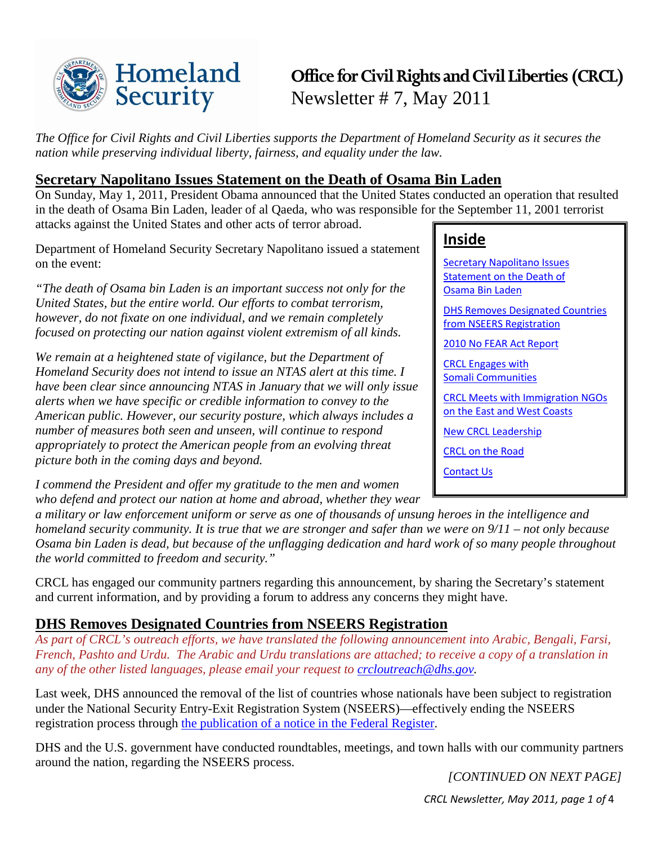

# **Office for Civil Rights and Civil Liberties (CRCL)** Newsletter # 7, May 2011

*The Office for Civil Rights and Civil Liberties supports the Department of Homeland Security as it secures the nation while preserving individual liberty, fairness, and equality under the law.*

# <span id="page-0-0"></span>**Secretary Napolitano Issues Statement on the Death of Osama Bin Laden**

On Sunday, May 1, 2011, President Obama announced that the United States conducted an operation that resulted in the death of Osama Bin Laden, leader of al Qaeda, who was responsible for the September 11, 2001 terrorist attacks against the United States and other acts of terror abroad.

Department of Homeland Security Secretary Napolitano issued a statement on the event:

*"The death of Osama bin Laden is an important success not only for the United States, but the entire world. Our efforts to combat terrorism, however, do not fixate on one individual, and we remain completely focused on protecting our nation against violent extremism of all kinds.*

*We remain at a heightened state of vigilance, but the Department of Homeland Security does not intend to issue an NTAS alert at this time. I have been clear since announcing NTAS in January that we will only issue alerts when we have specific or credible information to convey to the American public. However, our security posture, which always includes a number of measures both seen and unseen, will continue to respond appropriately to protect the American people from an evolving threat picture both in the coming days and beyond.*

*I commend the President and offer my gratitude to the men and women who defend and protect our nation at home and abroad, whether they wear* 

# **Inside**

[Secretary Napolitano Issues](#page-0-0)  [Statement on the Death of](#page-0-0)  [Osama Bin Laden](#page-0-0)

[DHS Removes Designated Countries](#page-0-1)  [from NSEERS Registration](#page-0-1)

[2010 No FEAR Act Report](#page-1-0)

[CRCL Engages](#page-1-1) with [Somali Communities](#page-1-1)

[CRCL Meets with Immigration NGOs](#page-2-0)  [on the East and West Coasts](#page-2-0)

[New CRCL Leadership](#page-2-1)

[CRCL on the Road](#page-2-2)

[Contact Us](#page-3-0)

*a military or law enforcement uniform or serve as one of thousands of unsung heroes in the intelligence and homeland security community. It is true that we are stronger and safer than we were on 9/11 – not only because Osama bin Laden is dead, but because of the unflagging dedication and hard work of so many people throughout the world committed to freedom and security."*

CRCL has engaged our community partners regarding this announcement, by sharing the Secretary's statement and current information, and by providing a forum to address any concerns they might have.

# <span id="page-0-1"></span>**DHS Removes Designated Countries from NSEERS Registration**

*As part of CRCL's outreach efforts, we have translated the following announcement into Arabic, Bengali, Farsi, French, Pashto and Urdu. The Arabic and Urdu translations are attached; to receive a copy of a translation in any of the other listed languages, please email your request to [crcloutreach@dhs.gov.](mailto:crcloutreach@dhs.gov)*

Last week, DHS announced the removal of the list of countries whose nationals have been subject to registration under the National Security Entry-Exit Registration System (NSEERS)—effectively ending the NSEERS registration process through [the publication of a notice in the Federal Register.](http://www.ofr.gov/OFRUpload/OFRData/2011-10305_PI.pdf)

DHS and the U.S. government have conducted roundtables, meetings, and town halls with our community partners around the nation, regarding the NSEERS process.

 *[CONTINUED ON NEXT PAGE]*

*CRCL Newsletter, May 2011, page 1 of* 4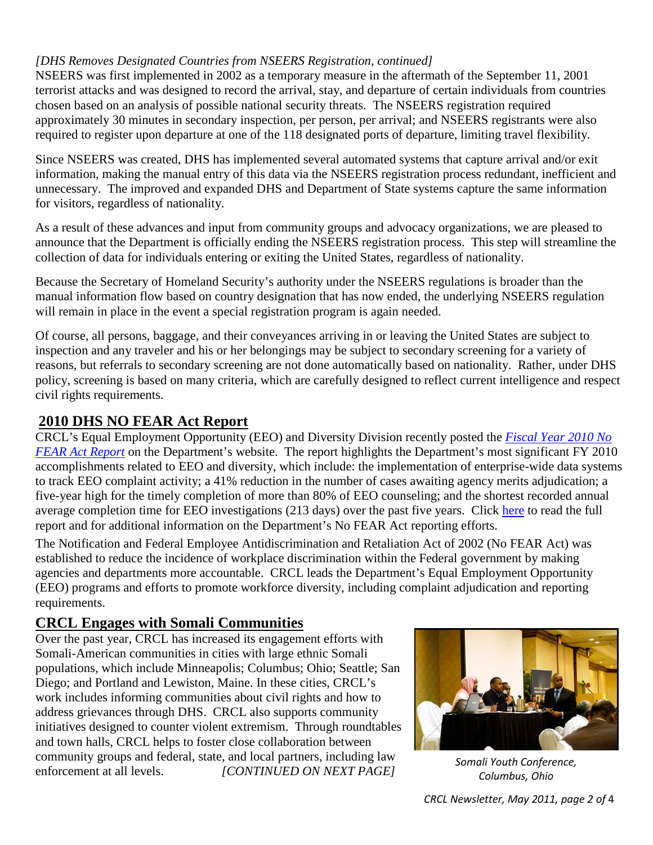#### *[DHS Removes Designated Countries from NSEERS Registration, continued]*

NSEERS was first implemented in 2002 as a temporary measure in the aftermath of the September 11, 2001 terrorist attacks and was designed to record the arrival, stay, and departure of certain individuals from countries chosen based on an analysis of possible national security threats. The NSEERS registration required approximately 30 minutes in secondary inspection, per person, per arrival; and NSEERS registrants were also required to register upon departure at one of the 118 designated ports of departure, limiting travel flexibility.

Since NSEERS was created, DHS has implemented several automated systems that capture arrival and/or exit information, making the manual entry of this data via the NSEERS registration process redundant, inefficient and unnecessary. The improved and expanded DHS and Department of State systems capture the same information for visitors, regardless of nationality.

As a result of these advances and input from community groups and advocacy organizations, we are pleased to announce that the Department is officially ending the NSEERS registration process. This step will streamline the collection of data for individuals entering or exiting the United States, regardless of nationality.

Because the Secretary of Homeland Security's authority under the NSEERS regulations is broader than the manual information flow based on country designation that has now ended, the underlying NSEERS regulation will remain in place in the event a special registration program is again needed.

Of course, all persons, baggage, and their conveyances arriving in or leaving the United States are subject to inspection and any traveler and his or her belongings may be subject to secondary screening for a variety of reasons, but referrals to secondary screening are not done automatically based on nationality. Rather, under DHS policy, screening is based on many criteria, which are carefully designed to reflect current intelligence and respect civil rights requirements.

#### <span id="page-1-0"></span>**2010 DHS NO FEAR Act Report**

CRCL's Equal Employment Opportunity (EEO) and Diversity Division recently posted the *[Fiscal Year 2010](http://www.dhs.gov/xlibrary/assets/dhs-no-fear-act-report-fy-2010.pdf) No [FEAR Act Report](http://www.dhs.gov/xlibrary/assets/dhs-no-fear-act-report-fy-2010.pdf)* on the Department's website. The report highlights the Department's most significant FY 2010 accomplishments related to EEO and diversity, which include: the implementation of enterprise-wide data systems to track EEO complaint activity; a 41% reduction in the number of cases awaiting agency merits adjudication; a five-year high for the timely completion of more than 80% of EEO counseling; and the shortest recorded annual average completion time for EEO investigations (213 days) over the past five years. Click [here](http://www.dhs.gov/xlibrary/assets/dhs-no-fear-act-report-fy-2010.pdf) to read the full report and for additional information on the Department's No FEAR Act reporting efforts.

The Notification and Federal Employee Antidiscrimination and Retaliation Act of 2002 (No FEAR Act) was established to reduce the incidence of workplace discrimination within the Federal government by making agencies and departments more accountable. CRCL leads the Department's Equal Employment Opportunity (EEO) programs and efforts to promote workforce diversity, including complaint adjudication and reporting requirements.

# <span id="page-1-1"></span>**CRCL Engages with Somali Communities**

Over the past year, CRCL has increased its engagement efforts with Somali-American communities in cities with large ethnic Somali populations, which include Minneapolis; Columbus; Ohio; Seattle; San Diego; and Portland and Lewiston, Maine. In these cities, CRCL's work includes informing communities about civil rights and how to address grievances through DHS. CRCL also supports community initiatives designed to counter violent extremism. Through roundtables and town halls, CRCL helps to foster close collaboration between community groups and federal, state, and local partners, including law enforcement at all levels. *[CONTINUED ON NEXT PAGE]*



*Somali Youth Conference, Columbus, Ohio*

*CRCL Newsletter, May 2011, page 2 of* 4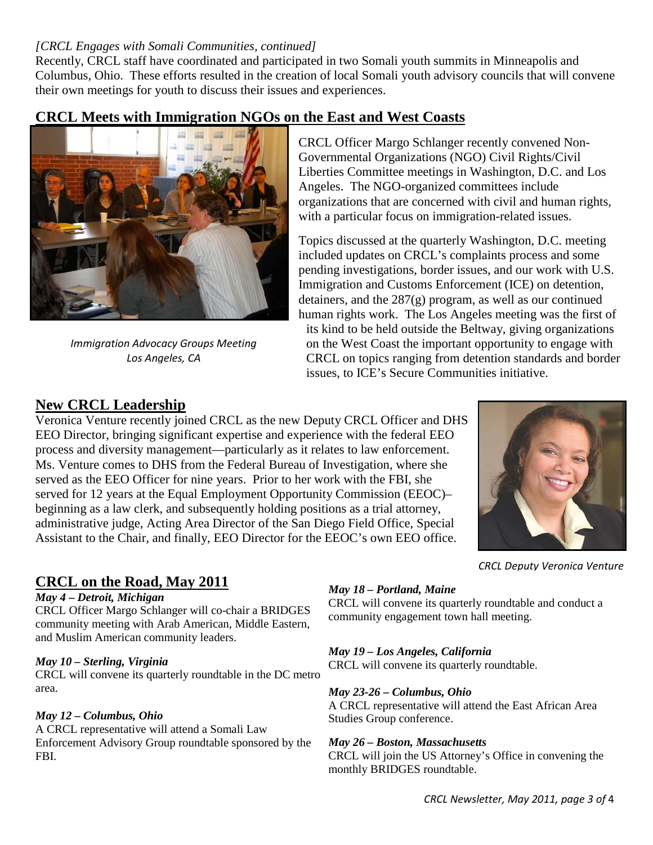#### *[CRCL Engages with Somali Communities, continued]*

Recently, CRCL staff have coordinated and participated in two Somali youth summits in Minneapolis and Columbus, Ohio. These efforts resulted in the creation of local Somali youth advisory councils that will convene their own meetings for youth to discuss their issues and experiences.

# <span id="page-2-0"></span>**CRCL Meets with Immigration NGOs on the East and West Coasts**



*Immigration Advocacy Groups Meeting Los Angeles, CA*

CRCL Officer Margo Schlanger recently convened Non-Governmental Organizations (NGO) Civil Rights/Civil Liberties Committee meetings in Washington, D.C. and Los Angeles. The NGO-organized committees include organizations that are concerned with civil and human rights, with a particular focus on immigration-related issues.

Topics discussed at the quarterly Washington, D.C. meeting included updates on CRCL's complaints process and some pending investigations, border issues, and our work with U.S. Immigration and Customs Enforcement (ICE) on detention, detainers, and the 287(g) program, as well as our continued human rights work. The Los Angeles meeting was the first of

its kind to be held outside the Beltway, giving organizations on the West Coast the important opportunity to engage with CRCL on topics ranging from detention standards and border issues, to ICE's Secure Communities initiative.

# <span id="page-2-1"></span>**New CRCL Leadership**

Veronica Venture recently joined CRCL as the new Deputy CRCL Officer and DHS EEO Director, bringing significant expertise and experience with the federal EEO process and diversity management—particularly as it relates to law enforcement. Ms. Venture comes to DHS from the Federal Bureau of Investigation, where she served as the EEO Officer for nine years. Prior to her work with the FBI, she served for 12 years at the Equal Employment Opportunity Commission (EEOC)– beginning as a law clerk, and subsequently holding positions as a trial attorney, administrative judge, Acting Area Director of the San Diego Field Office, Special Assistant to the Chair, and finally, EEO Director for the EEOC's own EEO office.



#### *CRCL Deputy Veronica Venture*

#### <span id="page-2-2"></span>**CRCL on the Road, May 2011**

#### *May 4 – Detroit, Michigan*

CRCL Officer Margo Schlanger will co-chair a BRIDGES community meeting with Arab American, Middle Eastern, and Muslim American community leaders.

#### *May 10 – Sterling, Virginia*

CRCL will convene its quarterly roundtable in the DC metro area.

*May 12 – Columbus, Ohio* Studies Group conference. A CRCL representative will attend a Somali Law Enforcement Advisory Group roundtable sponsored by the FBI.

# *May 18 – Portland, Maine*

CRCL will convene its quarterly roundtable and conduct a community engagement town hall meeting.

#### *May 19 – Los Angeles, California*

CRCL will convene its quarterly roundtable.

#### *May 23-26 – Columbus, Ohio*

A CRCL representative will attend the East African Area

#### *May 26 – Boston, Massachusetts*

CRCL will join the US Attorney's Office in convening the monthly BRIDGES roundtable.